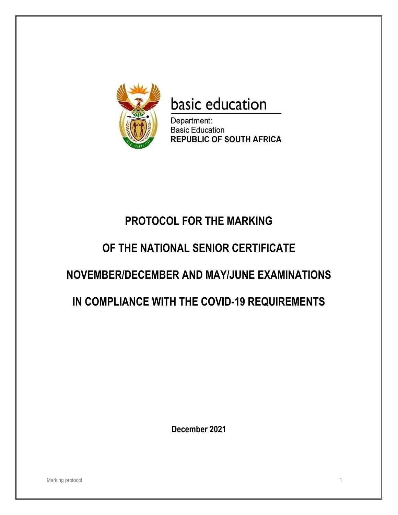

# basic education

Department: **Basic Education REPUBLIC OF SOUTH AFRICA** 

## **PROTOCOL FOR THE MARKING**

## **OF THE NATIONAL SENIOR CERTIFICATE**

## **NOVEMBER/DECEMBER AND MAY/JUNE EXAMINATIONS**

## **IN COMPLIANCE WITH THE COVID-19 REQUIREMENTS**

**December 2021**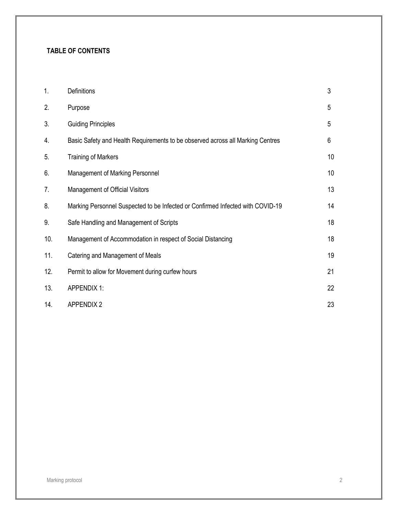### **TABLE OF CONTENTS**

| 1.  | Definitions                                                                    | $\mathfrak{Z}$ |
|-----|--------------------------------------------------------------------------------|----------------|
| 2.  | Purpose                                                                        | 5              |
| 3.  | <b>Guiding Principles</b>                                                      | 5              |
| 4.  | Basic Safety and Health Requirements to be observed across all Marking Centres | 6              |
| 5.  | <b>Training of Markers</b>                                                     | 10             |
| 6.  | Management of Marking Personnel                                                | 10             |
| 7.  | Management of Official Visitors                                                | 13             |
| 8.  | Marking Personnel Suspected to be Infected or Confirmed Infected with COVID-19 | 14             |
| 9.  | Safe Handling and Management of Scripts                                        | 18             |
| 10. | Management of Accommodation in respect of Social Distancing                    | 18             |
| 11. | Catering and Management of Meals                                               | 19             |
| 12. | Permit to allow for Movement during curfew hours                               | 21             |
| 13. | <b>APPENDIX 1:</b>                                                             | 22             |
| 14. | <b>APPENDIX 2</b>                                                              | 23             |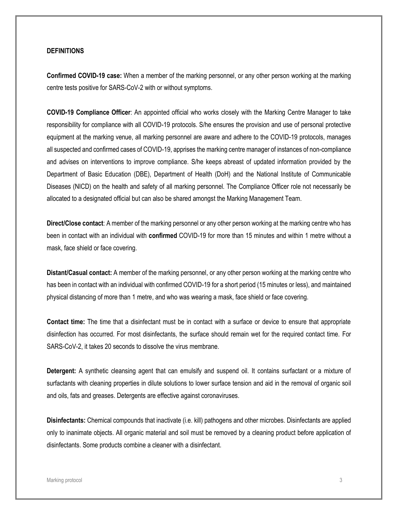### **DEFINITIONS**

**Confirmed COVID-19 case:** When a member of the marking personnel, or any other person working at the marking centre tests positive for SARS-CoV-2 with or without symptoms.

**COVID-19 Compliance Officer**: An appointed official who works closely with the Marking Centre Manager to take responsibility for compliance with all COVID-19 protocols. S/he ensures the provision and use of personal protective equipment at the marking venue, all marking personnel are aware and adhere to the COVID-19 protocols, manages all suspected and confirmed cases of COVID-19, apprises the marking centre manager of instances of non-compliance and advises on interventions to improve compliance. S/he keeps abreast of updated information provided by the Department of Basic Education (DBE), Department of Health (DoH) and the National Institute of Communicable Diseases (NICD) on the health and safety of all marking personnel. The Compliance Officer role not necessarily be allocated to a designated official but can also be shared amongst the Marking Management Team.

**Direct/Close contact**: A member of the marking personnel or any other person working at the marking centre who has been in contact with an individual with **confirmed** COVID-19 for more than 15 minutes and within 1 metre without a mask, face shield or face covering.

**Distant/Casual contact:** A member of the marking personnel, or any other person working at the marking centre who has been in contact with an individual with confirmed COVID-19 for a short period (15 minutes or less), and maintained physical distancing of more than 1 metre, and who was wearing a mask, face shield or face covering.

**Contact time:** The time that a disinfectant must be in contact with a surface or device to ensure that appropriate disinfection has occurred. For most disinfectants, the surface should remain wet for the required contact time. For SARS-CoV-2, it takes 20 seconds to dissolve the virus membrane.

**Detergent:** A synthetic cleansing agent that can emulsify and suspend oil. It contains surfactant or a mixture of surfactants with cleaning properties in dilute solutions to lower surface tension and aid in the removal of organic soil and oils, fats and greases. Detergents are effective against coronaviruses.

**Disinfectants:** Chemical compounds that inactivate (i.e. kill) pathogens and other microbes. Disinfectants are applied only to inanimate objects. All organic material and soil must be removed by a cleaning product before application of disinfectants. Some products combine a cleaner with a disinfectant.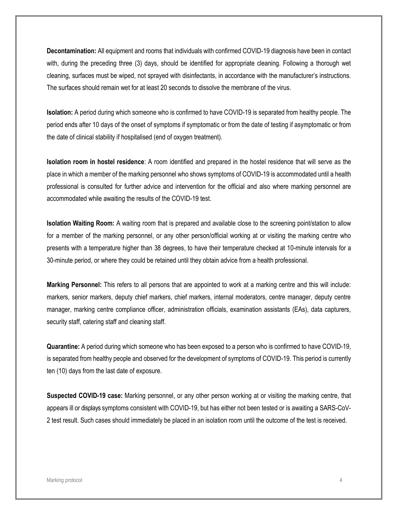**Decontamination:** All equipment and rooms that individuals with confirmed COVID-19 diagnosis have been in contact with, during the preceding three (3) days, should be identified for appropriate cleaning. Following a thorough wet cleaning, surfaces must be wiped, not sprayed with disinfectants, in accordance with the manufacturer's instructions. The surfaces should remain wet for at least 20 seconds to dissolve the membrane of the virus.

**Isolation:** A period during which someone who is confirmed to have COVID-19 is separated from healthy people. The period ends after 10 days of the onset of symptoms if symptomatic or from the date of testing if asymptomatic or from the date of clinical stability if hospitalised (end of oxygen treatment).

**Isolation room in hostel residence**: A room identified and prepared in the hostel residence that will serve as the place in which a member of the marking personnel who shows symptoms of COVID-19 is accommodated until a health professional is consulted for further advice and intervention for the official and also where marking personnel are accommodated while awaiting the results of the COVID-19 test.

**Isolation Waiting Room:** A waiting room that is prepared and available close to the screening point/station to allow for a member of the marking personnel, or any other person/official working at or visiting the marking centre who presents with a temperature higher than 38 degrees, to have their temperature checked at 10-minute intervals for a 30-minute period, or where they could be retained until they obtain advice from a health professional.

**Marking Personnel:** This refers to all persons that are appointed to work at a marking centre and this will include: markers, senior markers, deputy chief markers, chief markers, internal moderators, centre manager, deputy centre manager, marking centre compliance officer, administration officials, examination assistants (EAs), data capturers, security staff, catering staff and cleaning staff.

**Quarantine:** A period during which someone who has been exposed to a person who is confirmed to have COVID-19, is separated from healthy people and observed for the development of symptoms of COVID-19. This period is currently ten (10) days from the last date of exposure.

**Suspected COVID-19 case:** Marking personnel, or any other person working at or visiting the marking centre, that appears ill or displays symptoms consistent with COVID-19, but has either not been tested or is awaiting a SARS-CoV-2 test result. Such cases should immediately be placed in an isolation room until the outcome of the test is received.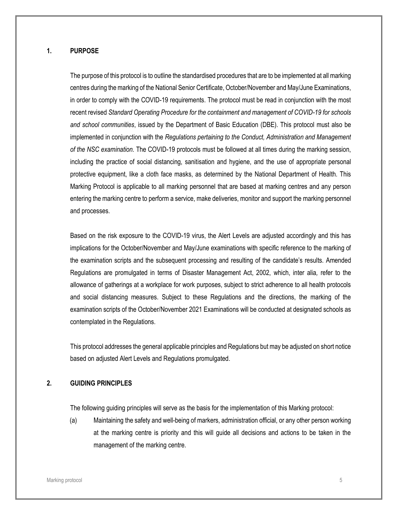### **1. PURPOSE**

The purpose of this protocol is to outline the standardised procedures that are to be implemented at all marking centres during the marking of the National Senior Certificate, October/November and May/June Examinations, in order to comply with the COVID-19 requirements. The protocol must be read in conjunction with the most recent revised *Standard Operating Procedure for the containment and management of COVID-19 for schools and school communities*, issued by the Department of Basic Education (DBE). This protocol must also be implemented in conjunction with the *Regulations pertaining to the Conduct, Administration and Management of the NSC examination.* The COVID-19 protocols must be followed at all times during the marking session, including the practice of social distancing, sanitisation and hygiene, and the use of appropriate personal protective equipment, like a cloth face masks, as determined by the National Department of Health. This Marking Protocol is applicable to all marking personnel that are based at marking centres and any person entering the marking centre to perform a service, make deliveries, monitor and support the marking personnel and processes.

Based on the risk exposure to the COVID-19 virus, the Alert Levels are adjusted accordingly and this has implications for the October/November and May/June examinations with specific reference to the marking of the examination scripts and the subsequent processing and resulting of the candidate's results. Amended Regulations are promulgated in terms of Disaster Management Act, 2002, which, inter alia*,* refer to the allowance of gatherings at a workplace for work purposes, subject to strict adherence to all health protocols and social distancing measures. Subject to these Regulations and the directions, the marking of the examination scripts of the October/November 2021 Examinations will be conducted at designated schools as contemplated in the Regulations.

This protocol addresses the general applicable principles and Regulations but may be adjusted on short notice based on adjusted Alert Levels and Regulations promulgated.

### **2. GUIDING PRINCIPLES**

The following guiding principles will serve as the basis for the implementation of this Marking protocol:

(a) Maintaining the safety and well-being of markers, administration official, or any other person working at the marking centre is priority and this will guide all decisions and actions to be taken in the management of the marking centre.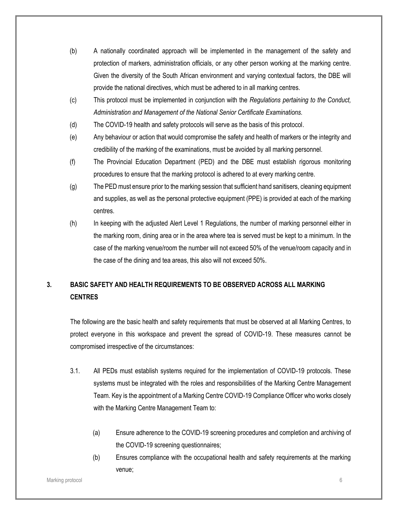- (b) A nationally coordinated approach will be implemented in the management of the safety and protection of markers, administration officials, or any other person working at the marking centre. Given the diversity of the South African environment and varying contextual factors, the DBE will provide the national directives, which must be adhered to in all marking centres.
- (c) This protocol must be implemented in conjunction with the *Regulations pertaining to the Conduct, Administration and Management of the National Senior Certificate Examinations.*
- (d) The COVID-19 health and safety protocols will serve as the basis of this protocol.
- (e) Any behaviour or action that would compromise the safety and health of markers or the integrity and credibility of the marking of the examinations, must be avoided by all marking personnel.
- (f) The Provincial Education Department (PED) and the DBE must establish rigorous monitoring procedures to ensure that the marking protocol is adhered to at every marking centre.
- (g) The PED must ensure prior to the marking session that sufficient hand sanitisers, cleaning equipment and supplies, as well as the personal protective equipment (PPE) is provided at each of the marking centres.
- (h) In keeping with the adjusted Alert Level 1 Regulations, the number of marking personnel either in the marking room, dining area or in the area where tea is served must be kept to a minimum. In the case of the marking venue/room the number will not exceed 50% of the venue/room capacity and in the case of the dining and tea areas, this also will not exceed 50%.

### **3. BASIC SAFETY AND HEALTH REQUIREMENTS TO BE OBSERVED ACROSS ALL MARKING CENTRES**

The following are the basic health and safety requirements that must be observed at all Marking Centres, to protect everyone in this workspace and prevent the spread of COVID-19. These measures cannot be compromised irrespective of the circumstances:

- 3.1. All PEDs must establish systems required for the implementation of COVID-19 protocols. These systems must be integrated with the roles and responsibilities of the Marking Centre Management Team. Key is the appointment of a Marking Centre COVID-19 Compliance Officer who works closely with the Marking Centre Management Team to:
	- (a) Ensure adherence to the COVID-19 screening procedures and completion and archiving of the COVID-19 screening questionnaires;
	- (b) Ensures compliance with the occupational health and safety requirements at the marking venue;

#### Marking protocol 6 and 3 and 3 and 3 and 3 and 3 and 3 and 3 and 3 and 3 and 3 and 3 and 3 and 3 and 3 and 3 and 3 and 3 and 3 and 3 and 3 and 3 and 3 and 3 and 3 and 3 and 3 and 3 and 3 and 3 and 3 and 3 and 3 and 3 and 3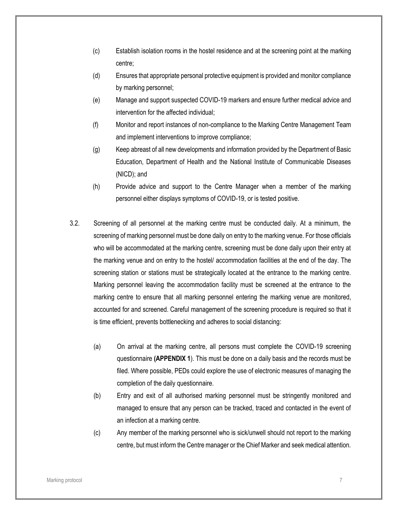- (c) Establish isolation rooms in the hostel residence and at the screening point at the marking centre;
- (d) Ensures that appropriate personal protective equipment is provided and monitor compliance by marking personnel;
- (e) Manage and support suspected COVID-19 markers and ensure further medical advice and intervention for the affected individual;
- (f) Monitor and report instances of non-compliance to the Marking Centre Management Team and implement interventions to improve compliance;
- (g) Keep abreast of all new developments and information provided by the Department of Basic Education, Department of Health and the National Institute of Communicable Diseases (NICD); and
- (h) Provide advice and support to the Centre Manager when a member of the marking personnel either displays symptoms of COVID-19, or is tested positive.
- 3.2. Screening of all personnel at the marking centre must be conducted daily. At a minimum, the screening of marking personnel must be done daily on entry to the marking venue. For those officials who will be accommodated at the marking centre, screening must be done daily upon their entry at the marking venue and on entry to the hostel/ accommodation facilities at the end of the day. The screening station or stations must be strategically located at the entrance to the marking centre. Marking personnel leaving the accommodation facility must be screened at the entrance to the marking centre to ensure that all marking personnel entering the marking venue are monitored, accounted for and screened. Careful management of the screening procedure is required so that it is time efficient, prevents bottlenecking and adheres to social distancing:
	- (a) On arrival at the marking centre, all persons must complete the COVID-19 screening questionnaire **(APPENDIX 1**). This must be done on a daily basis and the records must be filed. Where possible, PEDs could explore the use of electronic measures of managing the completion of the daily questionnaire.
	- (b) Entry and exit of all authorised marking personnel must be stringently monitored and managed to ensure that any person can be tracked, traced and contacted in the event of an infection at a marking centre.
	- (c) Any member of the marking personnel who is sick/unwell should not report to the marking centre, but must inform the Centre manager or the Chief Marker and seek medical attention.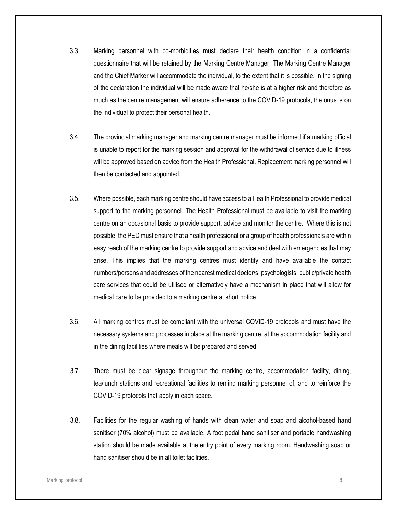- 3.3. Marking personnel with co-morbidities must declare their health condition in a confidential questionnaire that will be retained by the Marking Centre Manager. The Marking Centre Manager and the Chief Marker will accommodate the individual, to the extent that it is possible. In the signing of the declaration the individual will be made aware that he/she is at a higher risk and therefore as much as the centre management will ensure adherence to the COVID-19 protocols, the onus is on the individual to protect their personal health.
- 3.4. The provincial marking manager and marking centre manager must be informed if a marking official is unable to report for the marking session and approval for the withdrawal of service due to illness will be approved based on advice from the Health Professional. Replacement marking personnel will then be contacted and appointed.
- 3.5. Where possible, each marking centre should have access to a Health Professional to provide medical support to the marking personnel. The Health Professional must be available to visit the marking centre on an occasional basis to provide support, advice and monitor the centre. Where this is not possible, the PED must ensure that a health professional or a group of health professionals are within easy reach of the marking centre to provide support and advice and deal with emergencies that may arise. This implies that the marking centres must identify and have available the contact numbers/persons and addresses of the nearest medical doctor/s, psychologists, public/private health care services that could be utilised or alternatively have a mechanism in place that will allow for medical care to be provided to a marking centre at short notice.
- 3.6. All marking centres must be compliant with the universal COVID-19 protocols and must have the necessary systems and processes in place at the marking centre, at the accommodation facility and in the dining facilities where meals will be prepared and served.
- 3.7. There must be clear signage throughout the marking centre, accommodation facility, dining, tea/lunch stations and recreational facilities to remind marking personnel of, and to reinforce the COVID-19 protocols that apply in each space.
- 3.8. Facilities for the regular washing of hands with clean water and soap and alcohol-based hand sanitiser (70% alcohol) must be available. A foot pedal hand sanitiser and portable handwashing station should be made available at the entry point of every marking room. Handwashing soap or hand sanitiser should be in all toilet facilities.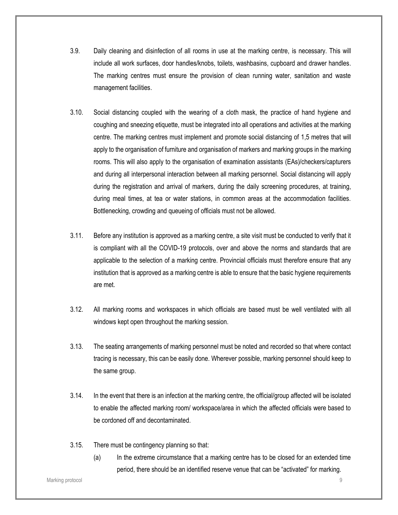- 3.9. Daily cleaning and disinfection of all rooms in use at the marking centre, is necessary. This will include all work surfaces, door handles/knobs, toilets, washbasins, cupboard and drawer handles. The marking centres must ensure the provision of clean running water, sanitation and waste management facilities.
- 3.10. Social distancing coupled with the wearing of a cloth mask, the practice of hand hygiene and coughing and sneezing etiquette, must be integrated into all operations and activities at the marking centre. The marking centres must implement and promote social distancing of 1,5 metres that will apply to the organisation of furniture and organisation of markers and marking groups in the marking rooms. This will also apply to the organisation of examination assistants (EAs)/checkers/capturers and during all interpersonal interaction between all marking personnel. Social distancing will apply during the registration and arrival of markers, during the daily screening procedures, at training, during meal times, at tea or water stations, in common areas at the accommodation facilities. Bottlenecking, crowding and queueing of officials must not be allowed.
- 3.11. Before any institution is approved as a marking centre, a site visit must be conducted to verify that it is compliant with all the COVID-19 protocols, over and above the norms and standards that are applicable to the selection of a marking centre. Provincial officials must therefore ensure that any institution that is approved as a marking centre is able to ensure that the basic hygiene requirements are met.
- 3.12. All marking rooms and workspaces in which officials are based must be well ventilated with all windows kept open throughout the marking session.
- 3.13. The seating arrangements of marking personnel must be noted and recorded so that where contact tracing is necessary, this can be easily done. Wherever possible, marking personnel should keep to the same group.
- 3.14. In the event that there is an infection at the marking centre, the official/group affected will be isolated to enable the affected marking room/ workspace/area in which the affected officials were based to be cordoned off and decontaminated.
- 3.15. There must be contingency planning so that:
	- (a) In the extreme circumstance that a marking centre has to be closed for an extended time period, there should be an identified reserve venue that can be "activated" for marking.

Marking protocol 9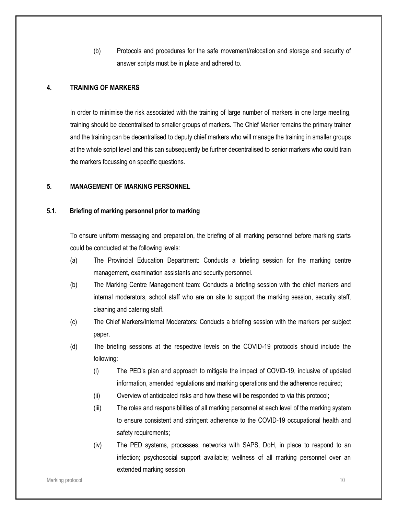(b) Protocols and procedures for the safe movement/relocation and storage and security of answer scripts must be in place and adhered to.

### **4. TRAINING OF MARKERS**

In order to minimise the risk associated with the training of large number of markers in one large meeting, training should be decentralised to smaller groups of markers. The Chief Marker remains the primary trainer and the training can be decentralised to deputy chief markers who will manage the training in smaller groups at the whole script level and this can subsequently be further decentralised to senior markers who could train the markers focussing on specific questions.

### **5. MANAGEMENT OF MARKING PERSONNEL**

### **5.1. Briefing of marking personnel prior to marking**

To ensure uniform messaging and preparation, the briefing of all marking personnel before marking starts could be conducted at the following levels:

- (a) The Provincial Education Department: Conducts a briefing session for the marking centre management, examination assistants and security personnel.
- (b) The Marking Centre Management team: Conducts a briefing session with the chief markers and internal moderators, school staff who are on site to support the marking session, security staff, cleaning and catering staff.
- (c) The Chief Markers/Internal Moderators: Conducts a briefing session with the markers per subject paper.
- (d) The briefing sessions at the respective levels on the COVID-19 protocols should include the following:
	- (i) The PED's plan and approach to mitigate the impact of COVID-19, inclusive of updated information, amended regulations and marking operations and the adherence required;
	- (ii) Overview of anticipated risks and how these will be responded to via this protocol;
	- (iii) The roles and responsibilities of all marking personnel at each level of the marking system to ensure consistent and stringent adherence to the COVID-19 occupational health and safety requirements;
	- (iv) The PED systems, processes, networks with SAPS, DoH, in place to respond to an infection; psychosocial support available; wellness of all marking personnel over an extended marking session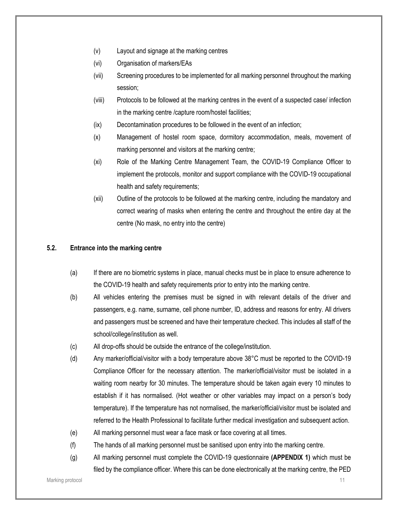- (v) Layout and signage at the marking centres
- (vi) Organisation of markers/EAs
- (vii) Screening procedures to be implemented for all marking personnel throughout the marking session;
- (viii) Protocols to be followed at the marking centres in the event of a suspected case/ infection in the marking centre /capture room/hostel facilities;
- (ix) Decontamination procedures to be followed in the event of an infection;
- (x) Management of hostel room space, dormitory accommodation, meals, movement of marking personnel and visitors at the marking centre;
- (xi) Role of the Marking Centre Management Team, the COVID-19 Compliance Officer to implement the protocols, monitor and support compliance with the COVID-19 occupational health and safety requirements;
- (xii) Outline of the protocols to be followed at the marking centre, including the mandatory and correct wearing of masks when entering the centre and throughout the entire day at the centre (No mask, no entry into the centre)

### **5.2. Entrance into the marking centre**

- (a) If there are no biometric systems in place, manual checks must be in place to ensure adherence to the COVID-19 health and safety requirements prior to entry into the marking centre.
- (b) All vehicles entering the premises must be signed in with relevant details of the driver and passengers, e.g. name, surname, cell phone number, ID, address and reasons for entry. All drivers and passengers must be screened and have their temperature checked. This includes all staff of the school/college/institution as well.
- (c) All drop-offs should be outside the entrance of the college/institution.
- (d) Any marker/official/visitor with a body temperature above 38°C must be reported to the COVID-19 Compliance Officer for the necessary attention. The marker/official/visitor must be isolated in a waiting room nearby for 30 minutes. The temperature should be taken again every 10 minutes to establish if it has normalised. (Hot weather or other variables may impact on a person's body temperature). If the temperature has not normalised, the marker/official/visitor must be isolated and referred to the Health Professional to facilitate further medical investigation and subsequent action.
- (e) All marking personnel must wear a face mask or face covering at all times.
- (f) The hands of all marking personnel must be sanitised upon entry into the marking centre.
- (g) All marking personnel must complete the COVID-19 questionnaire **(APPENDIX 1)** which must be filed by the compliance officer. Where this can be done electronically at the marking centre, the PED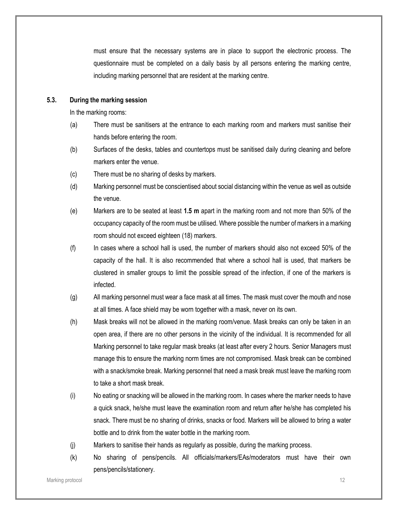must ensure that the necessary systems are in place to support the electronic process. The questionnaire must be completed on a daily basis by all persons entering the marking centre, including marking personnel that are resident at the marking centre.

### **5.3. During the marking session**

In the marking rooms:

- (a) There must be sanitisers at the entrance to each marking room and markers must sanitise their hands before entering the room.
- (b) Surfaces of the desks, tables and countertops must be sanitised daily during cleaning and before markers enter the venue.
- (c) There must be no sharing of desks by markers.
- (d) Marking personnel must be conscientised about social distancing within the venue as well as outside the venue.
- (e) Markers are to be seated at least **1.5 m** apart in the marking room and not more than 50% of the occupancy capacity of the room must be utilised. Where possible the number of markers in a marking room should not exceed eighteen (18) markers.
- (f) In cases where a school hall is used, the number of markers should also not exceed 50% of the capacity of the hall. It is also recommended that where a school hall is used, that markers be clustered in smaller groups to limit the possible spread of the infection, if one of the markers is infected.
- (g) All marking personnel must wear a face mask at all times. The mask must cover the mouth and nose at all times. A face shield may be worn together with a mask, never on its own.
- (h) Mask breaks will not be allowed in the marking room/venue. Mask breaks can only be taken in an open area, if there are no other persons in the vicinity of the individual. It is recommended for all Marking personnel to take regular mask breaks (at least after every 2 hours. Senior Managers must manage this to ensure the marking norm times are not compromised. Mask break can be combined with a snack/smoke break. Marking personnel that need a mask break must leave the marking room to take a short mask break.
- (i) No eating or snacking will be allowed in the marking room. In cases where the marker needs to have a quick snack, he/she must leave the examination room and return after he/she has completed his snack. There must be no sharing of drinks, snacks or food. Markers will be allowed to bring a water bottle and to drink from the water bottle in the marking room.
- (j) Markers to sanitise their hands as regularly as possible, during the marking process.
- (k) No sharing of pens/pencils. All officials/markers/EAs/moderators must have their own pens/pencils/stationery.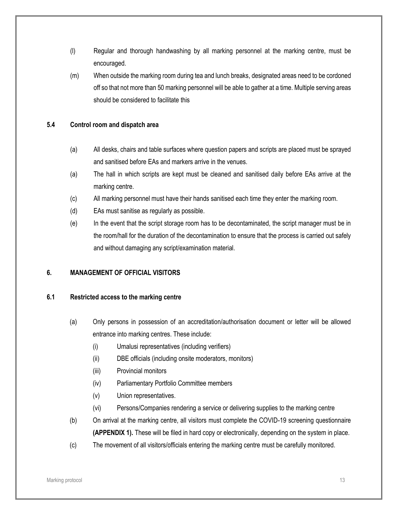- (l) Regular and thorough handwashing by all marking personnel at the marking centre, must be encouraged.
- (m) When outside the marking room during tea and lunch breaks, designated areas need to be cordoned off so that not more than 50 marking personnel will be able to gather at a time. Multiple serving areas should be considered to facilitate this

### **5.4 Control room and dispatch area**

- (a) All desks, chairs and table surfaces where question papers and scripts are placed must be sprayed and sanitised before EAs and markers arrive in the venues.
- (a) The hall in which scripts are kept must be cleaned and sanitised daily before EAs arrive at the marking centre.
- (c) All marking personnel must have their hands sanitised each time they enter the marking room.
- (d) EAs must sanitise as regularly as possible.
- (e) In the event that the script storage room has to be decontaminated, the script manager must be in the room/hall for the duration of the decontamination to ensure that the process is carried out safely and without damaging any script/examination material.

### **6. MANAGEMENT OF OFFICIAL VISITORS**

### **6.1 Restricted access to the marking centre**

- (a) Only persons in possession of an accreditation/authorisation document or letter will be allowed entrance into marking centres. These include:
	- (i) Umalusi representatives (including verifiers)
	- (ii) DBE officials (including onsite moderators, monitors)
	- (iii) Provincial monitors
	- (iv) Parliamentary Portfolio Committee members
	- (v) Union representatives.
	- (vi) Persons/Companies rendering a service or delivering supplies to the marking centre
- (b) On arrival at the marking centre, all visitors must complete the COVID-19 screening questionnaire **(APPENDIX 1).** These will be filed in hard copy or electronically, depending on the system in place.
- (c) The movement of all visitors/officials entering the marking centre must be carefully monitored.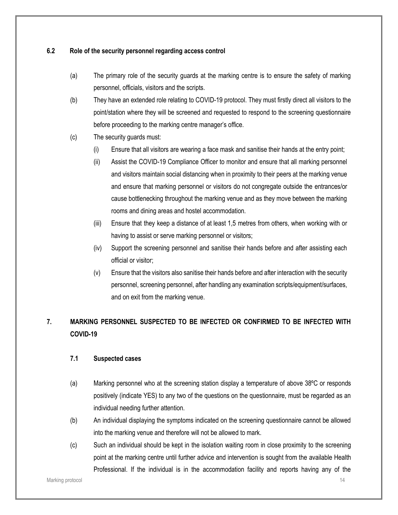### **6.2 Role of the security personnel regarding access control**

- (a) The primary role of the security guards at the marking centre is to ensure the safety of marking personnel, officials, visitors and the scripts.
- (b) They have an extended role relating to COVID-19 protocol. They must firstly direct all visitors to the point/station where they will be screened and requested to respond to the screening questionnaire before proceeding to the marking centre manager's office.
- (c) The security guards must:
	- (i) Ensure that all visitors are wearing a face mask and sanitise their hands at the entry point;
	- (ii) Assist the COVID-19 Compliance Officer to monitor and ensure that all marking personnel and visitors maintain social distancing when in proximity to their peers at the marking venue and ensure that marking personnel or visitors do not congregate outside the entrances/or cause bottlenecking throughout the marking venue and as they move between the marking rooms and dining areas and hostel accommodation.
	- (iii) Ensure that they keep a distance of at least 1,5 metres from others, when working with or having to assist or serve marking personnel or visitors;
	- (iv) Support the screening personnel and sanitise their hands before and after assisting each official or visitor;
	- (v) Ensure that the visitors also sanitise their hands before and after interaction with the security personnel, screening personnel, after handling any examination scripts/equipment/surfaces, and on exit from the marking venue.

### **7. MARKING PERSONNEL SUSPECTED TO BE INFECTED OR CONFIRMED TO BE INFECTED WITH COVID-19**

### **7.1 Suspected cases**

- (a) Marking personnel who at the screening station display a temperature of above 38ºC or responds positively (indicate YES) to any two of the questions on the questionnaire, must be regarded as an individual needing further attention.
- (b) An individual displaying the symptoms indicated on the screening questionnaire cannot be allowed into the marking venue and therefore will not be allowed to mark.
- (c) Such an individual should be kept in the isolation waiting room in close proximity to the screening point at the marking centre until further advice and intervention is sought from the available Health Professional. If the individual is in the accommodation facility and reports having any of the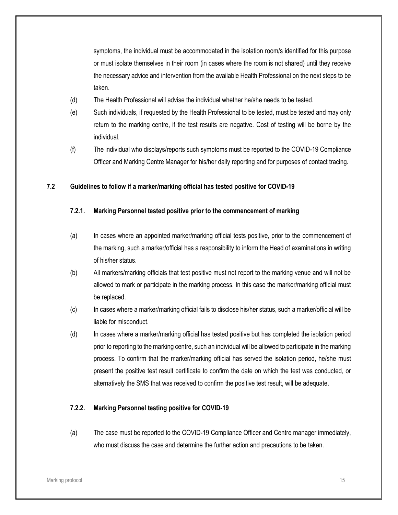symptoms, the individual must be accommodated in the isolation room/s identified for this purpose or must isolate themselves in their room (in cases where the room is not shared) until they receive the necessary advice and intervention from the available Health Professional on the next steps to be taken.

- (d) The Health Professional will advise the individual whether he/she needs to be tested.
- (e) Such individuals, if requested by the Health Professional to be tested, must be tested and may only return to the marking centre, if the test results are negative. Cost of testing will be borne by the individual.
- (f) The individual who displays/reports such symptoms must be reported to the COVID-19 Compliance Officer and Marking Centre Manager for his/her daily reporting and for purposes of contact tracing.

### **7.2 Guidelines to follow if a marker/marking official has tested positive for COVID-19**

### **7.2.1. Marking Personnel tested positive prior to the commencement of marking**

- (a) In cases where an appointed marker/marking official tests positive, prior to the commencement of the marking, such a marker/official has a responsibility to inform the Head of examinations in writing of his/her status.
- (b) All markers/marking officials that test positive must not report to the marking venue and will not be allowed to mark or participate in the marking process. In this case the marker/marking official must be replaced.
- (c) In cases where a marker/marking official fails to disclose his/her status, such a marker/official will be liable for misconduct.
- (d) In cases where a marker/marking official has tested positive but has completed the isolation period prior to reporting to the marking centre, such an individual will be allowed to participate in the marking process. To confirm that the marker/marking official has served the isolation period, he/she must present the positive test result certificate to confirm the date on which the test was conducted, or alternatively the SMS that was received to confirm the positive test result, will be adequate.

### **7.2.2. Marking Personnel testing positive for COVID-19**

(a) The case must be reported to the COVID-19 Compliance Officer and Centre manager immediately, who must discuss the case and determine the further action and precautions to be taken.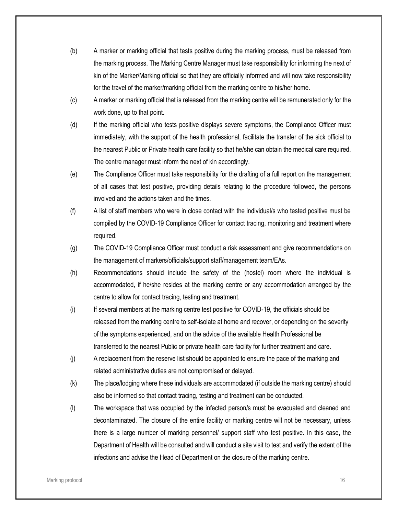- (b) A marker or marking official that tests positive during the marking process, must be released from the marking process. The Marking Centre Manager must take responsibility for informing the next of kin of the Marker/Marking official so that they are officially informed and will now take responsibility for the travel of the marker/marking official from the marking centre to his/her home.
- (c) A marker or marking official that is released from the marking centre will be remunerated only for the work done, up to that point.
- (d) If the marking official who tests positive displays severe symptoms, the Compliance Officer must immediately, with the support of the health professional, facilitate the transfer of the sick official to the nearest Public or Private health care facility so that he/she can obtain the medical care required. The centre manager must inform the next of kin accordingly.
- (e) The Compliance Officer must take responsibility for the drafting of a full report on the management of all cases that test positive, providing details relating to the procedure followed, the persons involved and the actions taken and the times.
- (f) A list of staff members who were in close contact with the individual/s who tested positive must be compiled by the COVID-19 Compliance Officer for contact tracing, monitoring and treatment where required.
- (g) The COVID-19 Compliance Officer must conduct a risk assessment and give recommendations on the management of markers/officials/support staff/management team/EAs.
- (h) Recommendations should include the safety of the (hostel) room where the individual is accommodated, if he/she resides at the marking centre or any accommodation arranged by the centre to allow for contact tracing, testing and treatment.
- (i) If several members at the marking centre test positive for COVID-19, the officials should be released from the marking centre to self-isolate at home and recover, or depending on the severity of the symptoms experienced, and on the advice of the available Health Professional be transferred to the nearest Public or private health care facility for further treatment and care.
- (j) A replacement from the reserve list should be appointed to ensure the pace of the marking and related administrative duties are not compromised or delayed.
- (k) The place/lodging where these individuals are accommodated (if outside the marking centre) should also be informed so that contact tracing, testing and treatment can be conducted.
- (l) The workspace that was occupied by the infected person/s must be evacuated and cleaned and decontaminated. The closure of the entire facility or marking centre will not be necessary, unless there is a large number of marking personnel/ support staff who test positive. In this case, the Department of Health will be consulted and will conduct a site visit to test and verify the extent of the infections and advise the Head of Department on the closure of the marking centre.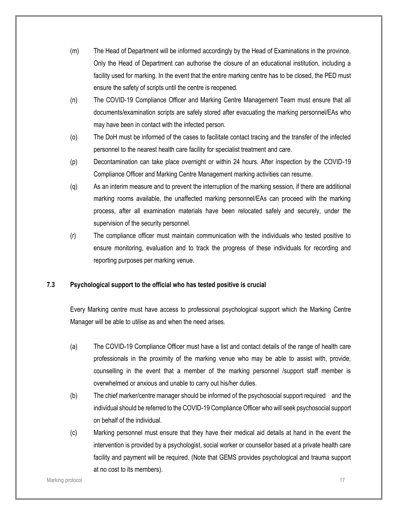- (m) The Head of Department will be informed accordingly by the Head of Examinations in the province. Only the Head of Department can authorise the closure of an educational institution, including a facility used for marking. In the event that the entire marking centre has to be closed, the PED must ensure the safety of scripts until the centre is reopened.
- (n) The COVID-19 Compliance Officer and Marking Centre Management Team must ensure that all documents/examination scripts are safely stored after evacuating the marking personnel/EAs who may have been in contact with the infected person.
- (o) The DoH must be informed of the cases to facilitate contact tracing and the transfer of the infected personnel to the nearest health care facility for specialist treatment and care.
- (p) Decontamination can take place overnight or within 24 hours. After inspection by the COVID-19 Compliance Officer and Marking Centre Management marking activities can resume.
- (q) As an interim measure and to prevent the interruption of the marking session, if there are additional marking rooms available, the unaffected marking personnel/EAs can proceed with the marking process, after all examination materials have been relocated safely and securely, under the supervision of the security personnel.
- (r) The compliance officer must maintain communication with the individuals who tested positive to ensure monitoring, evaluation and to track the progress of these individuals for recording and reporting purposes per marking venue.

### **7.3 Psychological support to the official who has tested positive is crucial**

Every Marking centre must have access to professional psychological support which the Marking Centre Manager will be able to utilise as and when the need arises.

- (a) The COVID-19 Compliance Officer must have a list and contact details of the range of health care professionals in the proximity of the marking venue who may be able to assist with, provide, counselling in the event that a member of the marking personnel /support staff member is overwhelmed or anxious and unable to carry out his/her duties.
- (b) The chief marker/centre manager should be informed of the psychosocial support required and the individual should be referred to the COVID-19 Compliance Officer who will seek psychosocial support on behalf of the individual.
- (c) Marking personnel must ensure that they have their medical aid details at hand in the event the intervention is provided by a psychologist, social worker or counsellor based at a private health care facility and payment will be required. (Note that GEMS provides psychological and trauma support at no cost to its members).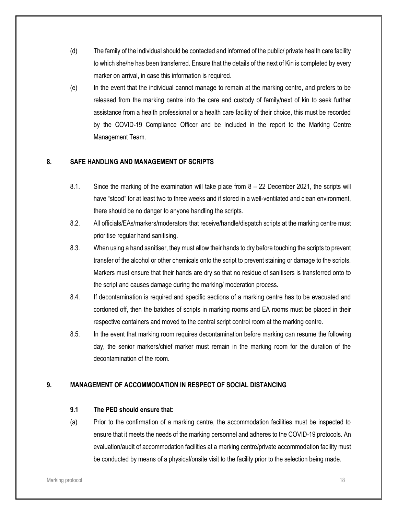- (d) The family of the individual should be contacted and informed of the public/ private health care facility to which she/he has been transferred. Ensure that the details of the next of Kin is completed by every marker on arrival, in case this information is required.
- (e) In the event that the individual cannot manage to remain at the marking centre, and prefers to be released from the marking centre into the care and custody of family/next of kin to seek further assistance from a health professional or a health care facility of their choice, this must be recorded by the COVID-19 Compliance Officer and be included in the report to the Marking Centre Management Team.

### **8. SAFE HANDLING AND MANAGEMENT OF SCRIPTS**

- 8.1. Since the marking of the examination will take place from 8 22 December 2021, the scripts will have "stood" for at least two to three weeks and if stored in a well-ventilated and clean environment, there should be no danger to anyone handling the scripts.
- 8.2. All officials/EAs/markers/moderators that receive/handle/dispatch scripts at the marking centre must prioritise regular hand sanitising.
- 8.3. When using a hand sanitiser, they must allow their hands to dry before touching the scripts to prevent transfer of the alcohol or other chemicals onto the script to prevent staining or damage to the scripts. Markers must ensure that their hands are dry so that no residue of sanitisers is transferred onto to the script and causes damage during the marking/ moderation process.
- 8.4. If decontamination is required and specific sections of a marking centre has to be evacuated and cordoned off, then the batches of scripts in marking rooms and EA rooms must be placed in their respective containers and moved to the central script control room at the marking centre.
- 8.5. In the event that marking room requires decontamination before marking can resume the following day, the senior markers/chief marker must remain in the marking room for the duration of the decontamination of the room.

### **9. MANAGEMENT OF ACCOMMODATION IN RESPECT OF SOCIAL DISTANCING**

### **9.1 The PED should ensure that:**

(a) Prior to the confirmation of a marking centre, the accommodation facilities must be inspected to ensure that it meets the needs of the marking personnel and adheres to the COVID-19 protocols. An evaluation/audit of accommodation facilities at a marking centre/private accommodation facility must be conducted by means of a physical/onsite visit to the facility prior to the selection being made.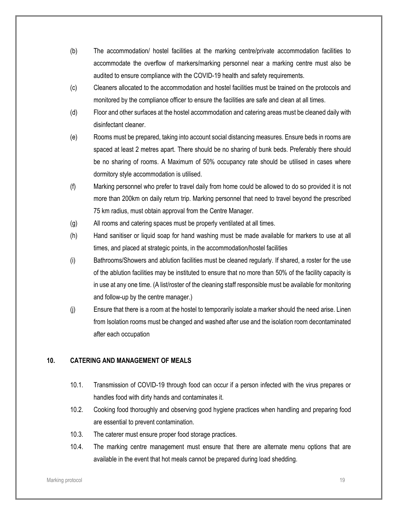- (b) The accommodation/ hostel facilities at the marking centre/private accommodation facilities to accommodate the overflow of markers/marking personnel near a marking centre must also be audited to ensure compliance with the COVID-19 health and safety requirements.
- (c) Cleaners allocated to the accommodation and hostel facilities must be trained on the protocols and monitored by the compliance officer to ensure the facilities are safe and clean at all times.
- (d) Floor and other surfaces at the hostel accommodation and catering areas must be cleaned daily with disinfectant cleaner.
- (e) Rooms must be prepared, taking into account social distancing measures. Ensure beds in rooms are spaced at least 2 metres apart. There should be no sharing of bunk beds. Preferably there should be no sharing of rooms. A Maximum of 50% occupancy rate should be utilised in cases where dormitory style accommodation is utilised.
- (f) Marking personnel who prefer to travel daily from home could be allowed to do so provided it is not more than 200km on daily return trip. Marking personnel that need to travel beyond the prescribed 75 km radius, must obtain approval from the Centre Manager.
- (g) All rooms and catering spaces must be properly ventilated at all times.
- (h) Hand sanitiser or liquid soap for hand washing must be made available for markers to use at all times, and placed at strategic points, in the accommodation/hostel facilities
- (i) Bathrooms/Showers and ablution facilities must be cleaned regularly. If shared, a roster for the use of the ablution facilities may be instituted to ensure that no more than 50% of the facility capacity is in use at any one time. (A list/roster of the cleaning staff responsible must be available for monitoring and follow-up by the centre manager.)
- (j) Ensure that there is a room at the hostel to temporarily isolate a marker should the need arise. Linen from Isolation rooms must be changed and washed after use and the isolation room decontaminated after each occupation

### **10. CATERING AND MANAGEMENT OF MEALS**

- 10.1. Transmission of COVID-19 through food can occur if a person infected with the virus prepares or handles food with dirty hands and contaminates it.
- 10.2. Cooking food thoroughly and observing good hygiene practices when handling and preparing food are essential to prevent contamination.
- 10.3. The caterer must ensure proper food storage practices.
- 10.4. The marking centre management must ensure that there are alternate menu options that are available in the event that hot meals cannot be prepared during load shedding.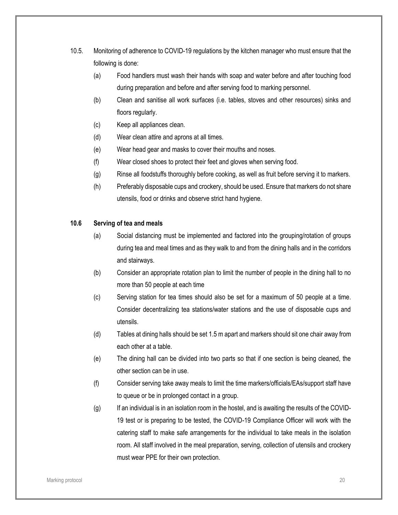- 10.5. Monitoring of adherence to COVID-19 regulations by the kitchen manager who must ensure that the following is done:
	- (a) Food handlers must wash their hands with soap and water before and after touching food during preparation and before and after serving food to marking personnel.
	- (b) Clean and sanitise all work surfaces (i.e. tables, stoves and other resources) sinks and floors regularly.
	- (c) Keep all appliances clean.
	- (d) Wear clean attire and aprons at all times.
	- (e) Wear head gear and masks to cover their mouths and noses.
	- (f) Wear closed shoes to protect their feet and gloves when serving food.
	- (g) Rinse all foodstuffs thoroughly before cooking, as well as fruit before serving it to markers.
	- (h) Preferably disposable cups and crockery, should be used. Ensure that markers do not share utensils, food or drinks and observe strict hand hygiene.

### **10.6 Serving of tea and meals**

- (a) Social distancing must be implemented and factored into the grouping/rotation of groups during tea and meal times and as they walk to and from the dining halls and in the corridors and stairways.
- (b) Consider an appropriate rotation plan to limit the number of people in the dining hall to no more than 50 people at each time
- (c) Serving station for tea times should also be set for a maximum of 50 people at a time. Consider decentralizing tea stations/water stations and the use of disposable cups and utensils.
- (d) Tables at dining halls should be set 1.5 m apart and markers should sit one chair away from each other at a table.
- (e) The dining hall can be divided into two parts so that if one section is being cleaned, the other section can be in use.
- (f) Consider serving take away meals to limit the time markers/officials/EAs/support staff have to queue or be in prolonged contact in a group.
- $(g)$  If an individual is in an isolation room in the hostel, and is awaiting the results of the COVID-19 test or is preparing to be tested, the COVID-19 Compliance Officer will work with the catering staff to make safe arrangements for the individual to take meals in the isolation room. All staff involved in the meal preparation, serving, collection of utensils and crockery must wear PPE for their own protection.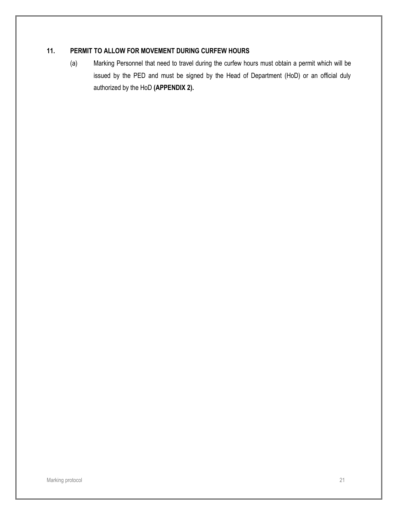### **11. PERMIT TO ALLOW FOR MOVEMENT DURING CURFEW HOURS**

(a) Marking Personnel that need to travel during the curfew hours must obtain a permit which will be issued by the PED and must be signed by the Head of Department (HoD) or an official duly authorized by the HoD **(APPENDIX 2).**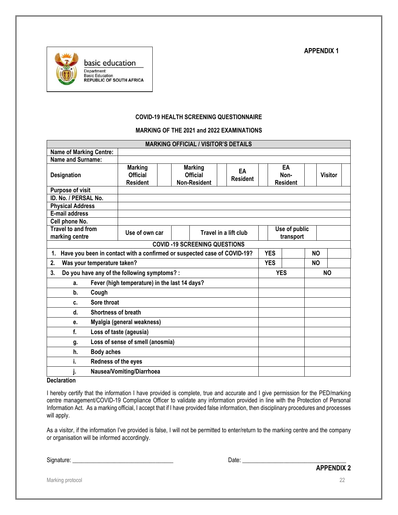

### **COVID-19 HEALTH SCREENING QUESTIONNAIRE**

#### **MARKING OF THE 2021 and 2022 EXAMINATIONS**

| <b>MARKING OFFICIAL / VISITOR'S DETAILS</b>                                    |                                               |                     |                 |                       |                 |               |                 |           |                |  |
|--------------------------------------------------------------------------------|-----------------------------------------------|---------------------|-----------------|-----------------------|-----------------|---------------|-----------------|-----------|----------------|--|
| <b>Name of Marking Centre:</b>                                                 |                                               |                     |                 |                       |                 |               |                 |           |                |  |
| Name and Surname:                                                              |                                               |                     |                 |                       |                 |               |                 |           |                |  |
|                                                                                | <b>Marking</b>                                |                     | Marking         |                       | EA              |               | EA              |           |                |  |
| Designation                                                                    | <b>Official</b>                               |                     | <b>Official</b> |                       | <b>Resident</b> |               | Non-            |           | <b>Visitor</b> |  |
|                                                                                | <b>Resident</b>                               | <b>Non-Resident</b> |                 |                       |                 |               | <b>Resident</b> |           |                |  |
| Purpose of visit                                                               |                                               |                     |                 |                       |                 |               |                 |           |                |  |
| ID. No. / PERSAL No.                                                           |                                               |                     |                 |                       |                 |               |                 |           |                |  |
| <b>Physical Address</b>                                                        |                                               |                     |                 |                       |                 |               |                 |           |                |  |
| E-mail address                                                                 |                                               |                     |                 |                       |                 |               |                 |           |                |  |
| Cell phone No.                                                                 |                                               |                     |                 |                       |                 |               |                 |           |                |  |
| Travel to and from                                                             |                                               | Use of own car      |                 | Travel in a lift club |                 | Use of public |                 |           |                |  |
| marking centre                                                                 |                                               |                     |                 |                       |                 |               | transport       |           |                |  |
|                                                                                | <b>COVID-19 SCREENING QUESTIONS</b>           |                     |                 |                       |                 |               |                 |           |                |  |
| Have you been in contact with a confirmed or suspected case of COVID-19?<br>1. |                                               |                     |                 |                       |                 | <b>YES</b>    | <b>NO</b>       |           |                |  |
| Was your temperature taken?<br>2.                                              |                                               |                     |                 |                       |                 | <b>YES</b>    |                 | <b>NO</b> |                |  |
| Do you have any of the following symptoms? :<br>3.                             |                                               |                     |                 |                       |                 | <b>YES</b>    |                 | <b>NO</b> |                |  |
| a.                                                                             | Fever (high temperature) in the last 14 days? |                     |                 |                       |                 |               |                 |           |                |  |
| Cough<br>b.                                                                    |                                               |                     |                 |                       |                 |               |                 |           |                |  |
| Sore throat<br>c.                                                              |                                               |                     |                 |                       |                 |               |                 |           |                |  |
| d.<br><b>Shortness of breath</b>                                               |                                               |                     |                 |                       |                 |               |                 |           |                |  |
| Myalgia (general weakness)<br>e.                                               |                                               |                     |                 |                       |                 |               |                 |           |                |  |
| f.<br>Loss of taste (ageusia)                                                  |                                               |                     |                 |                       |                 |               |                 |           |                |  |
| Loss of sense of smell (anosmia)<br>g.                                         |                                               |                     |                 |                       |                 |               |                 |           |                |  |
| <b>Body aches</b><br>h.                                                        |                                               |                     |                 |                       |                 |               |                 |           |                |  |
| i.<br>Redness of the eyes                                                      |                                               |                     |                 |                       |                 |               |                 |           |                |  |
| Nausea/Vomiting/Diarrhoea<br>j.                                                |                                               |                     |                 |                       |                 |               |                 |           |                |  |
|                                                                                |                                               |                     |                 |                       |                 |               |                 |           |                |  |

**Declaration** 

I hereby certify that the information I have provided is complete, true and accurate and I give permission for the PED/marking centre management/COVID-19 Compliance Officer to validate any information provided in line with the Protection of Personal Information Act. As a marking official, I accept that if I have provided false information, then disciplinary procedures and processes will apply.

As a visitor, if the information I've provided is false, I will not be permitted to enter/return to the marking centre and the company or organisation will be informed accordingly.

Signature: \_\_\_\_\_\_\_\_\_\_\_\_\_\_\_\_\_\_\_\_\_\_\_\_\_\_\_\_\_\_\_\_\_\_ Date: \_\_\_\_\_\_\_\_\_\_\_\_\_\_\_\_\_\_\_\_\_\_\_\_\_\_\_\_\_\_\_\_\_\_\_

Marking protocol 22

**APPENDIX 2**